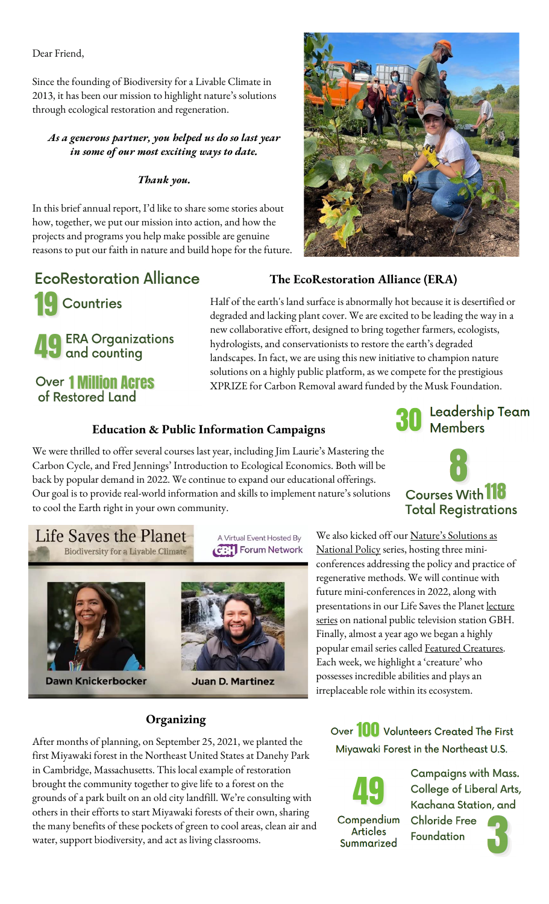Dear Friend,

Since the founding of Biodiversity for a Livable Climate in 2013, it has been our mission to highlight nature's solutions through ecological restoration and regeneration.

*As a generous partner, you helped us do so last year in some of our most exciting ways to date.*

#### *Thank you.*

In this brief annual report, I'd like to share some stories about how, together, we put our mission into action, and how the projects and programs you help make possible are genuine reasons to put our faith in nature and build hope for the future.



# **EcoRestoration Alliance**

**ERA Organizations** 

**J** and counting

**Over 1 Million Acres** of Restored Land

**Countries** 

**The EcoRestoration Alliance (ERA)**

Half of the earth's land surface is abnormally hot because it is desertified or degraded and lacking plant cover. We are excited to be leading the way in a new collaborative effort, designed to bring together farmers, ecologists, hydrologists, and conservationists to restore the earth's degraded landscapes. In fact, we are using this new initiative to champion nature solutions on a highly public platform, as we compete for the prestigious XPRIZE for Carbon Removal award funded by the Musk Foundation.

#### **Education & Public Information Campaigns**

We were thrilled to offer several courses last year, including Jim Laurie's [Mastering the](https://bio4climate.org/biodiversity-5-mastering-the-carbon-cycle/)  [Carbon Cycle](https://bio4climate.org/biodiversity-5-mastering-the-carbon-cycle/), and Fred Jennings' [Introduction to Ecological Economics.](https://bio4climate.org/intro-to-ecological-economics-fall-2021/) Both will be back by popular demand in 2022. We continue to expand our educational offerings. Our goal is to provide real-world information and skills to implement nature's solutions to cool the Earth right in your own community.





## Life Saves the Planet **Biodiversity for a Livable Climate**



**Dawn Knickerbocker** 





**Juan D. Martinez** 

We also kicked off our [Nature's Solutions as](https://bio4climate.org/conferences/natures-solutions-as-national-policy/)  [National Policy](https://bio4climate.org/conferences/natures-solutions-as-national-policy/) series, hosting three miniconferences addressing the policy and practice of regenerative methods. We will continue with future mini-conferences in 2022, along with presentations in our Life Saves the Planet [lecture](https://forum-network.org/partner/biodiversity-livable-climate/) [se](https://forum-network.org/partner/biodiversity-livable-climate/)ries on national public television station GBH. Finally, almost a year ago we began a highly popular email series calle[d Featured Creatures.](https://bio4climate.org/featured-creature/) Each week, we highlight a 'creature' who possesses incredible abilities and plays an irreplaceable role within its ecosystem.

## **Organizing**

After months of planning, on September 25, 2021, we planted the first Miyawaki forest in the Northeast United States at Danehy Park in Cambridge, Massachusetts. This local example of restoration brought the community together to give life to a forest on the grounds of a park built on an old city landfill. We're consulting with others in their efforts to start Miyawaki forests of their own, sharing the many benefits of these pockets of green to cool areas, clean air and water, support biodiversity, and act as living classrooms.

Over **100** Volunteers Created The First Miyawaki Forest in the Northeast U.S.

Compendium **Articles** Summarized

Campaigns with Mass. **College of Liberal Arts,** Kachana Station, and **Chloride Free** 

Foundation